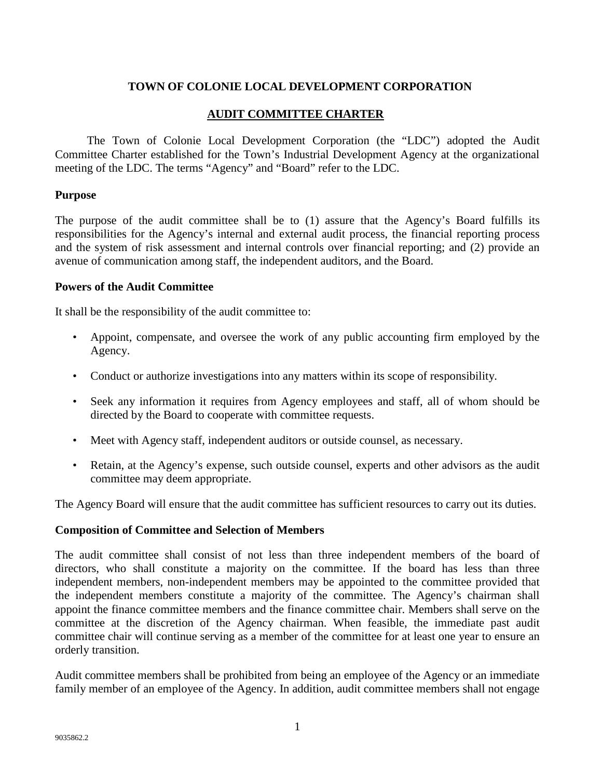## **TOWN OF COLONIE LOCAL DEVELOPMENT CORPORATION**

### **AUDIT COMMITTEE CHARTER**

The Town of Colonie Local Development Corporation (the "LDC") adopted the Audit Committee Charter established for the Town's Industrial Development Agency at the organizational meeting of the LDC. The terms "Agency" and "Board" refer to the LDC.

#### **Purpose**

The purpose of the audit committee shall be to (1) assure that the Agency's Board fulfills its responsibilities for the Agency's internal and external audit process, the financial reporting process and the system of risk assessment and internal controls over financial reporting; and (2) provide an avenue of communication among staff, the independent auditors, and the Board.

#### **Powers of the Audit Committee**

It shall be the responsibility of the audit committee to:

- Appoint, compensate, and oversee the work of any public accounting firm employed by the Agency.
- Conduct or authorize investigations into any matters within its scope of responsibility.
- Seek any information it requires from Agency employees and staff, all of whom should be directed by the Board to cooperate with committee requests.
- Meet with Agency staff, independent auditors or outside counsel, as necessary.
- Retain, at the Agency's expense, such outside counsel, experts and other advisors as the audit committee may deem appropriate.

The Agency Board will ensure that the audit committee has sufficient resources to carry out its duties.

### **Composition of Committee and Selection of Members**

The audit committee shall consist of not less than three independent members of the board of directors, who shall constitute a majority on the committee. If the board has less than three independent members, non-independent members may be appointed to the committee provided that the independent members constitute a majority of the committee. The Agency's chairman shall appoint the finance committee members and the finance committee chair. Members shall serve on the committee at the discretion of the Agency chairman. When feasible, the immediate past audit committee chair will continue serving as a member of the committee for at least one year to ensure an orderly transition.

Audit committee members shall be prohibited from being an employee of the Agency or an immediate family member of an employee of the Agency. In addition, audit committee members shall not engage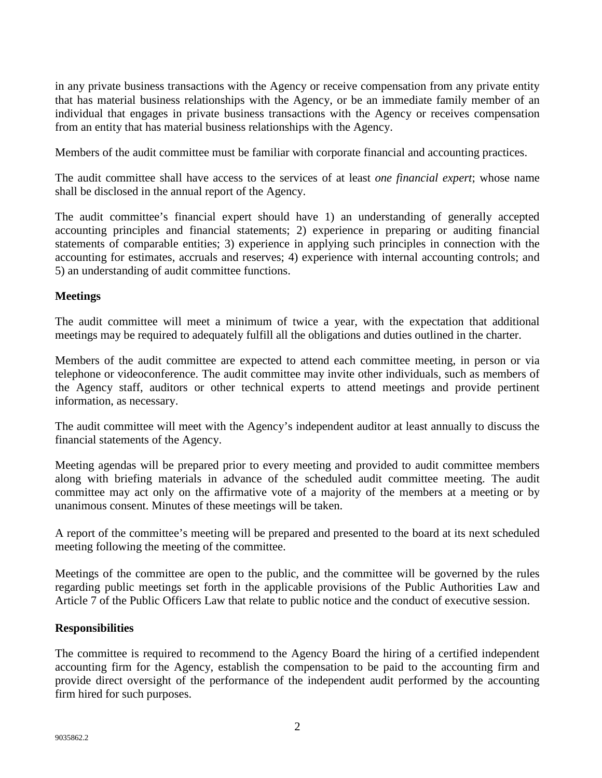in any private business transactions with the Agency or receive compensation from any private entity that has material business relationships with the Agency, or be an immediate family member of an individual that engages in private business transactions with the Agency or receives compensation from an entity that has material business relationships with the Agency.

Members of the audit committee must be familiar with corporate financial and accounting practices.

The audit committee shall have access to the services of at least *one financial expert*; whose name shall be disclosed in the annual report of the Agency.

The audit committee's financial expert should have 1) an understanding of generally accepted accounting principles and financial statements; 2) experience in preparing or auditing financial statements of comparable entities; 3) experience in applying such principles in connection with the accounting for estimates, accruals and reserves; 4) experience with internal accounting controls; and 5) an understanding of audit committee functions.

## **Meetings**

The audit committee will meet a minimum of twice a year, with the expectation that additional meetings may be required to adequately fulfill all the obligations and duties outlined in the charter.

Members of the audit committee are expected to attend each committee meeting, in person or via telephone or videoconference. The audit committee may invite other individuals, such as members of the Agency staff, auditors or other technical experts to attend meetings and provide pertinent information, as necessary.

The audit committee will meet with the Agency's independent auditor at least annually to discuss the financial statements of the Agency.

Meeting agendas will be prepared prior to every meeting and provided to audit committee members along with briefing materials in advance of the scheduled audit committee meeting. The audit committee may act only on the affirmative vote of a majority of the members at a meeting or by unanimous consent. Minutes of these meetings will be taken.

A report of the committee's meeting will be prepared and presented to the board at its next scheduled meeting following the meeting of the committee.

Meetings of the committee are open to the public, and the committee will be governed by the rules regarding public meetings set forth in the applicable provisions of the Public Authorities Law and Article 7 of the Public Officers Law that relate to public notice and the conduct of executive session.

## **Responsibilities**

The committee is required to recommend to the Agency Board the hiring of a certified independent accounting firm for the Agency, establish the compensation to be paid to the accounting firm and provide direct oversight of the performance of the independent audit performed by the accounting firm hired for such purposes.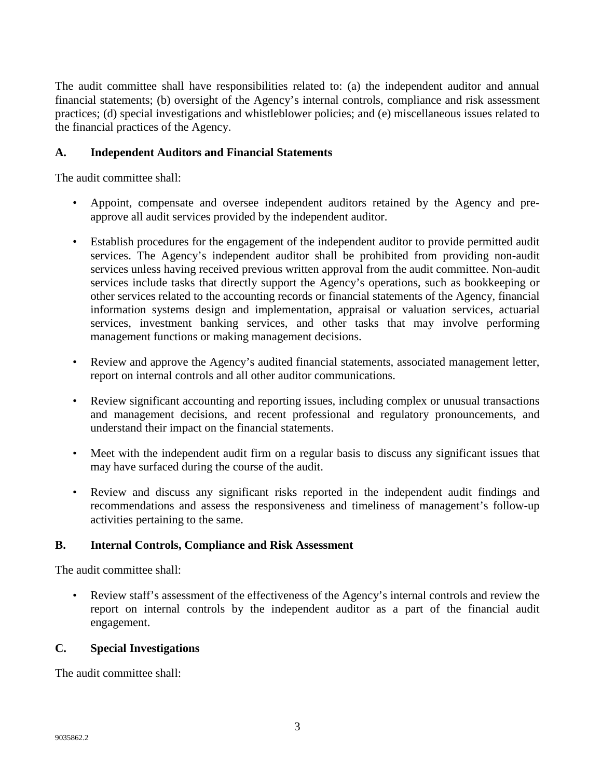The audit committee shall have responsibilities related to: (a) the independent auditor and annual financial statements; (b) oversight of the Agency's internal controls, compliance and risk assessment practices; (d) special investigations and whistleblower policies; and (e) miscellaneous issues related to the financial practices of the Agency.

## **A. Independent Auditors and Financial Statements**

The audit committee shall:

- Appoint, compensate and oversee independent auditors retained by the Agency and preapprove all audit services provided by the independent auditor.
- Establish procedures for the engagement of the independent auditor to provide permitted audit services. The Agency's independent auditor shall be prohibited from providing non-audit services unless having received previous written approval from the audit committee. Non-audit services include tasks that directly support the Agency's operations, such as bookkeeping or other services related to the accounting records or financial statements of the Agency, financial information systems design and implementation, appraisal or valuation services, actuarial services, investment banking services, and other tasks that may involve performing management functions or making management decisions.
- Review and approve the Agency's audited financial statements, associated management letter, report on internal controls and all other auditor communications.
- Review significant accounting and reporting issues, including complex or unusual transactions and management decisions, and recent professional and regulatory pronouncements, and understand their impact on the financial statements.
- Meet with the independent audit firm on a regular basis to discuss any significant issues that may have surfaced during the course of the audit.
- Review and discuss any significant risks reported in the independent audit findings and recommendations and assess the responsiveness and timeliness of management's follow-up activities pertaining to the same.

## **B. Internal Controls, Compliance and Risk Assessment**

The audit committee shall:

• Review staff's assessment of the effectiveness of the Agency's internal controls and review the report on internal controls by the independent auditor as a part of the financial audit engagement.

### **C. Special Investigations**

The audit committee shall: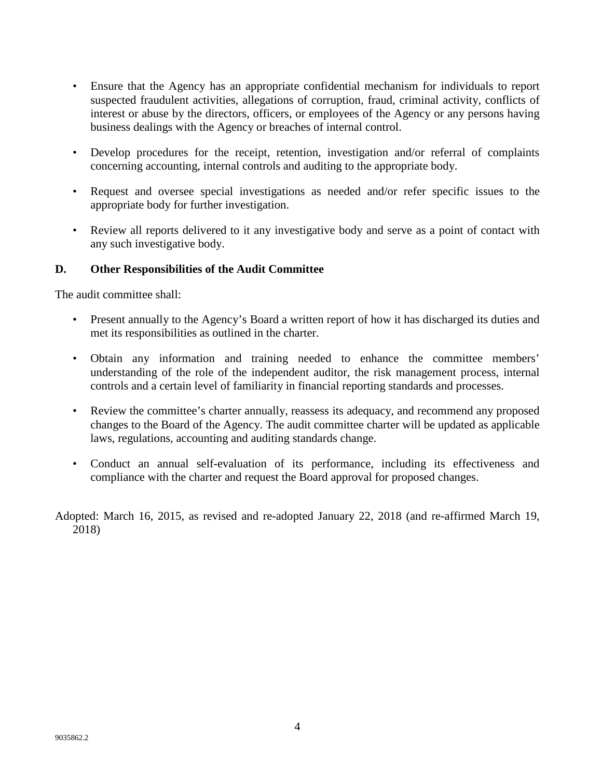- Ensure that the Agency has an appropriate confidential mechanism for individuals to report suspected fraudulent activities, allegations of corruption, fraud, criminal activity, conflicts of interest or abuse by the directors, officers, or employees of the Agency or any persons having business dealings with the Agency or breaches of internal control.
- Develop procedures for the receipt, retention, investigation and/or referral of complaints concerning accounting, internal controls and auditing to the appropriate body.
- Request and oversee special investigations as needed and/or refer specific issues to the appropriate body for further investigation.
- Review all reports delivered to it any investigative body and serve as a point of contact with any such investigative body.

## **D. Other Responsibilities of the Audit Committee**

The audit committee shall:

- Present annually to the Agency's Board a written report of how it has discharged its duties and met its responsibilities as outlined in the charter.
- Obtain any information and training needed to enhance the committee members' understanding of the role of the independent auditor, the risk management process, internal controls and a certain level of familiarity in financial reporting standards and processes.
- Review the committee's charter annually, reassess its adequacy, and recommend any proposed changes to the Board of the Agency. The audit committee charter will be updated as applicable laws, regulations, accounting and auditing standards change.
- Conduct an annual self-evaluation of its performance, including its effectiveness and compliance with the charter and request the Board approval for proposed changes.

Adopted: March 16, 2015, as revised and re-adopted January 22, 2018 (and re-affirmed March 19, 2018)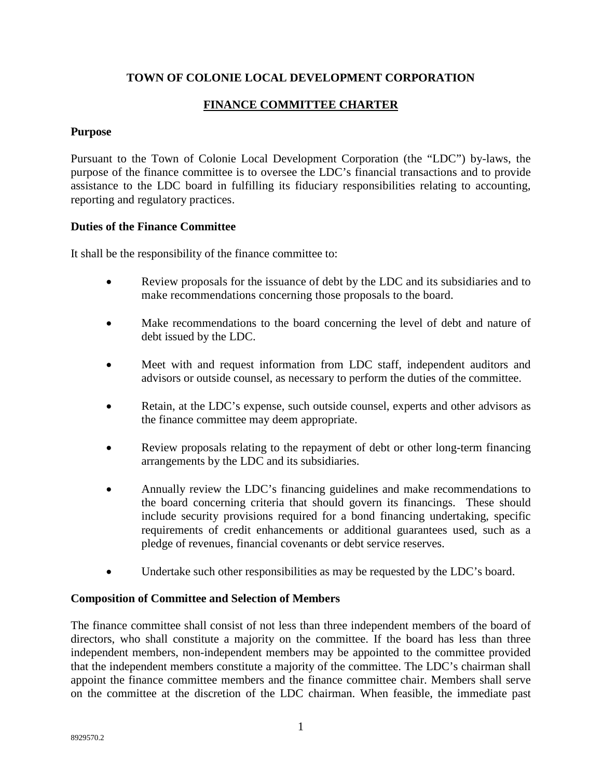## **TOWN OF COLONIE LOCAL DEVELOPMENT CORPORATION**

# **FINANCE COMMITTEE CHARTER**

## **Purpose**

Pursuant to the Town of Colonie Local Development Corporation (the "LDC") by-laws, the purpose of the finance committee is to oversee the LDC's financial transactions and to provide assistance to the LDC board in fulfilling its fiduciary responsibilities relating to accounting, reporting and regulatory practices.

## **Duties of the Finance Committee**

It shall be the responsibility of the finance committee to:

- Review proposals for the issuance of debt by the LDC and its subsidiaries and to make recommendations concerning those proposals to the board.
- Make recommendations to the board concerning the level of debt and nature of debt issued by the LDC.
- Meet with and request information from LDC staff, independent auditors and advisors or outside counsel, as necessary to perform the duties of the committee.
- Retain, at the LDC's expense, such outside counsel, experts and other advisors as the finance committee may deem appropriate.
- Review proposals relating to the repayment of debt or other long-term financing arrangements by the LDC and its subsidiaries.
- Annually review the LDC's financing guidelines and make recommendations to the board concerning criteria that should govern its financings. These should include security provisions required for a bond financing undertaking, specific requirements of credit enhancements or additional guarantees used, such as a pledge of revenues, financial covenants or debt service reserves.
- Undertake such other responsibilities as may be requested by the LDC's board.

### **Composition of Committee and Selection of Members**

The finance committee shall consist of not less than three independent members of the board of directors, who shall constitute a majority on the committee. If the board has less than three independent members, non-independent members may be appointed to the committee provided that the independent members constitute a majority of the committee. The LDC's chairman shall appoint the finance committee members and the finance committee chair. Members shall serve on the committee at the discretion of the LDC chairman. When feasible, the immediate past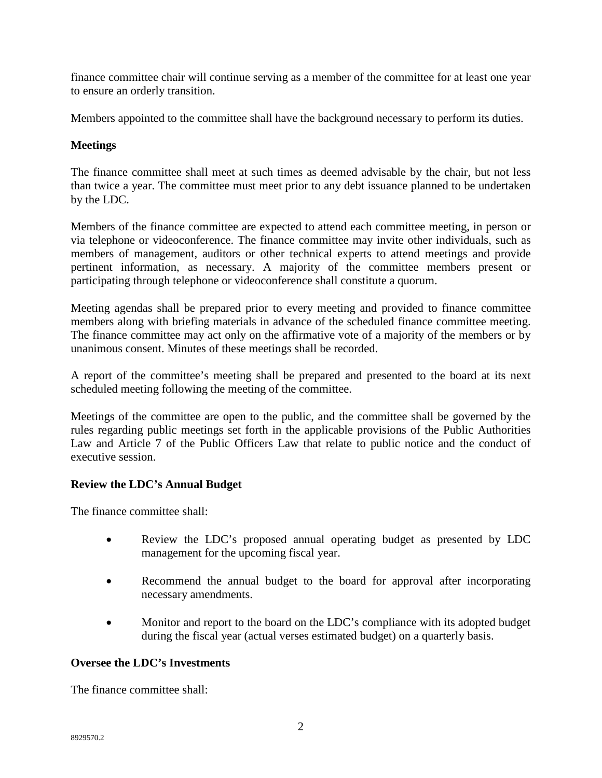finance committee chair will continue serving as a member of the committee for at least one year to ensure an orderly transition.

Members appointed to the committee shall have the background necessary to perform its duties.

## **Meetings**

The finance committee shall meet at such times as deemed advisable by the chair, but not less than twice a year. The committee must meet prior to any debt issuance planned to be undertaken by the LDC.

Members of the finance committee are expected to attend each committee meeting, in person or via telephone or videoconference. The finance committee may invite other individuals, such as members of management, auditors or other technical experts to attend meetings and provide pertinent information, as necessary. A majority of the committee members present or participating through telephone or videoconference shall constitute a quorum.

Meeting agendas shall be prepared prior to every meeting and provided to finance committee members along with briefing materials in advance of the scheduled finance committee meeting. The finance committee may act only on the affirmative vote of a majority of the members or by unanimous consent. Minutes of these meetings shall be recorded.

A report of the committee's meeting shall be prepared and presented to the board at its next scheduled meeting following the meeting of the committee.

Meetings of the committee are open to the public, and the committee shall be governed by the rules regarding public meetings set forth in the applicable provisions of the Public Authorities Law and Article 7 of the Public Officers Law that relate to public notice and the conduct of executive session.

## **Review the LDC's Annual Budget**

The finance committee shall:

- Review the LDC's proposed annual operating budget as presented by LDC management for the upcoming fiscal year.
- Recommend the annual budget to the board for approval after incorporating necessary amendments.
- Monitor and report to the board on the LDC's compliance with its adopted budget during the fiscal year (actual verses estimated budget) on a quarterly basis.

### **Oversee the LDC's Investments**

The finance committee shall: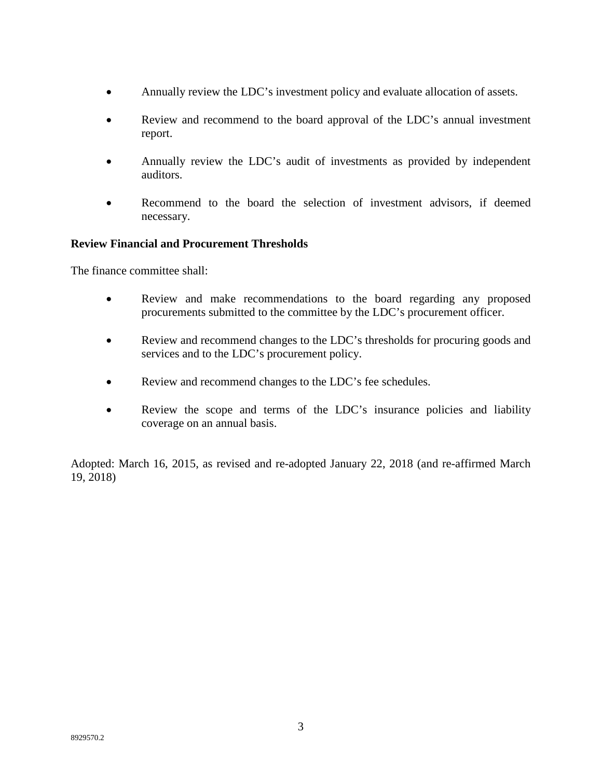- Annually review the LDC's investment policy and evaluate allocation of assets.
- Review and recommend to the board approval of the LDC's annual investment report.
- Annually review the LDC's audit of investments as provided by independent auditors.
- Recommend to the board the selection of investment advisors, if deemed necessary.

## **Review Financial and Procurement Thresholds**

The finance committee shall:

- Review and make recommendations to the board regarding any proposed procurements submitted to the committee by the LDC's procurement officer.
- Review and recommend changes to the LDC's thresholds for procuring goods and services and to the LDC's procurement policy.
- Review and recommend changes to the LDC's fee schedules.
- Review the scope and terms of the LDC's insurance policies and liability coverage on an annual basis.

Adopted: March 16, 2015, as revised and re-adopted January 22, 2018 (and re-affirmed March 19, 2018)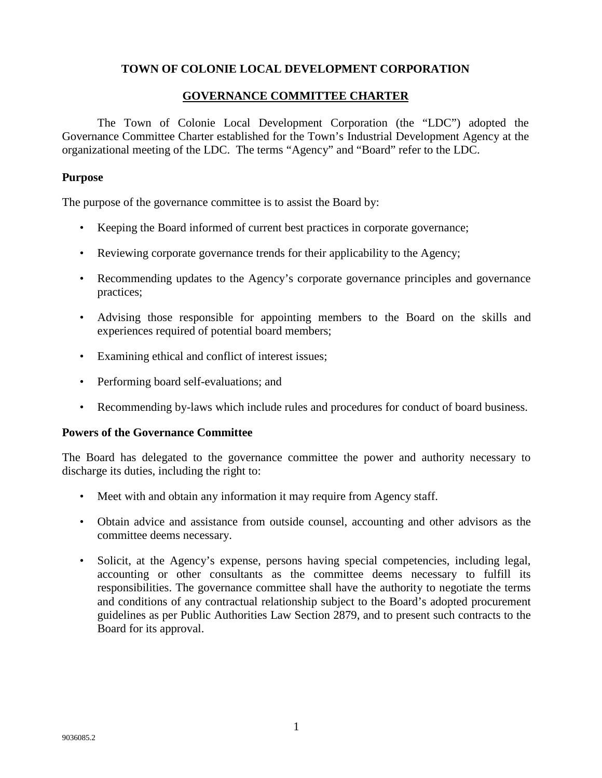## **TOWN OF COLONIE LOCAL DEVELOPMENT CORPORATION**

#### **GOVERNANCE COMMITTEE CHARTER**

The Town of Colonie Local Development Corporation (the "LDC") adopted the Governance Committee Charter established for the Town's Industrial Development Agency at the organizational meeting of the LDC. The terms "Agency" and "Board" refer to the LDC.

#### **Purpose**

The purpose of the governance committee is to assist the Board by:

- Keeping the Board informed of current best practices in corporate governance;
- Reviewing corporate governance trends for their applicability to the Agency;
- Recommending updates to the Agency's corporate governance principles and governance practices;
- Advising those responsible for appointing members to the Board on the skills and experiences required of potential board members;
- Examining ethical and conflict of interest issues;
- Performing board self-evaluations; and
- Recommending by-laws which include rules and procedures for conduct of board business.

### **Powers of the Governance Committee**

The Board has delegated to the governance committee the power and authority necessary to discharge its duties, including the right to:

- Meet with and obtain any information it may require from Agency staff.
- Obtain advice and assistance from outside counsel, accounting and other advisors as the committee deems necessary.
- Solicit, at the Agency's expense, persons having special competencies, including legal, accounting or other consultants as the committee deems necessary to fulfill its responsibilities. The governance committee shall have the authority to negotiate the terms and conditions of any contractual relationship subject to the Board's adopted procurement guidelines as per Public Authorities Law Section 2879, and to present such contracts to the Board for its approval.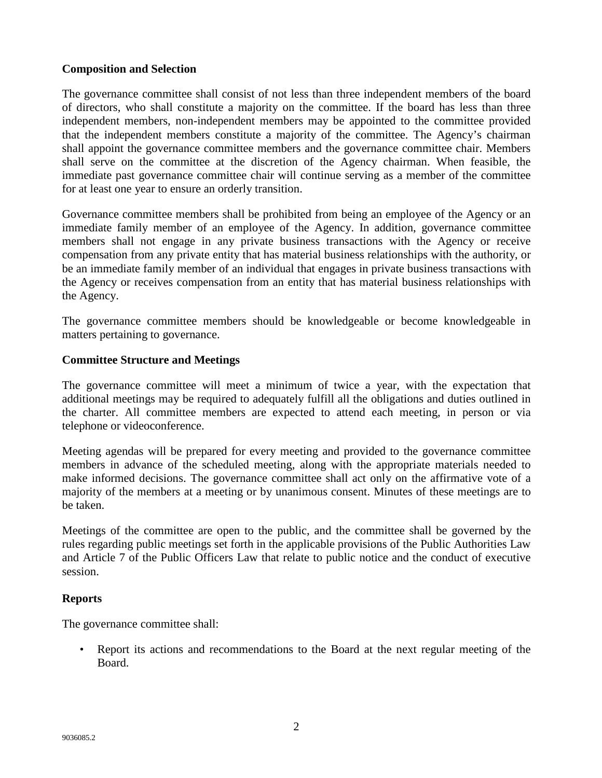### **Composition and Selection**

The governance committee shall consist of not less than three independent members of the board of directors, who shall constitute a majority on the committee. If the board has less than three independent members, non-independent members may be appointed to the committee provided that the independent members constitute a majority of the committee. The Agency's chairman shall appoint the governance committee members and the governance committee chair. Members shall serve on the committee at the discretion of the Agency chairman. When feasible, the immediate past governance committee chair will continue serving as a member of the committee for at least one year to ensure an orderly transition.

Governance committee members shall be prohibited from being an employee of the Agency or an immediate family member of an employee of the Agency. In addition, governance committee members shall not engage in any private business transactions with the Agency or receive compensation from any private entity that has material business relationships with the authority, or be an immediate family member of an individual that engages in private business transactions with the Agency or receives compensation from an entity that has material business relationships with the Agency.

The governance committee members should be knowledgeable or become knowledgeable in matters pertaining to governance.

## **Committee Structure and Meetings**

The governance committee will meet a minimum of twice a year, with the expectation that additional meetings may be required to adequately fulfill all the obligations and duties outlined in the charter. All committee members are expected to attend each meeting, in person or via telephone or videoconference.

Meeting agendas will be prepared for every meeting and provided to the governance committee members in advance of the scheduled meeting, along with the appropriate materials needed to make informed decisions. The governance committee shall act only on the affirmative vote of a majority of the members at a meeting or by unanimous consent. Minutes of these meetings are to be taken.

Meetings of the committee are open to the public, and the committee shall be governed by the rules regarding public meetings set forth in the applicable provisions of the Public Authorities Law and Article 7 of the Public Officers Law that relate to public notice and the conduct of executive session.

## **Reports**

The governance committee shall:

• Report its actions and recommendations to the Board at the next regular meeting of the Board.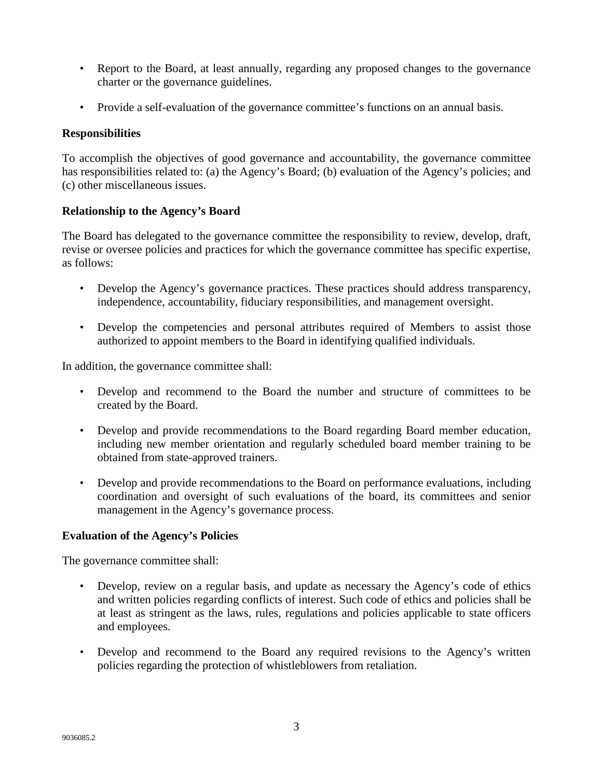- Report to the Board, at least annually, regarding any proposed changes to the governance charter or the governance guidelines.
- Provide a self-evaluation of the governance committee's functions on an annual basis.

## **Responsibilities**

To accomplish the objectives of good governance and accountability, the governance committee has responsibilities related to: (a) the Agency's Board; (b) evaluation of the Agency's policies; and (c) other miscellaneous issues.

## **Relationship to the Agency's Board**

The Board has delegated to the governance committee the responsibility to review, develop, draft, revise or oversee policies and practices for which the governance committee has specific expertise, as follows:

- Develop the Agency's governance practices. These practices should address transparency, independence, accountability, fiduciary responsibilities, and management oversight.
- Develop the competencies and personal attributes required of Members to assist those authorized to appoint members to the Board in identifying qualified individuals.

In addition, the governance committee shall:

- Develop and recommend to the Board the number and structure of committees to be created by the Board.
- Develop and provide recommendations to the Board regarding Board member education, including new member orientation and regularly scheduled board member training to be obtained from state-approved trainers.
- Develop and provide recommendations to the Board on performance evaluations, including coordination and oversight of such evaluations of the board, its committees and senior management in the Agency's governance process.

### **Evaluation of the Agency's Policies**

The governance committee shall:

- Develop, review on a regular basis, and update as necessary the Agency's code of ethics and written policies regarding conflicts of interest. Such code of ethics and policies shall be at least as stringent as the laws, rules, regulations and policies applicable to state officers and employees.
- Develop and recommend to the Board any required revisions to the Agency's written policies regarding the protection of whistleblowers from retaliation.